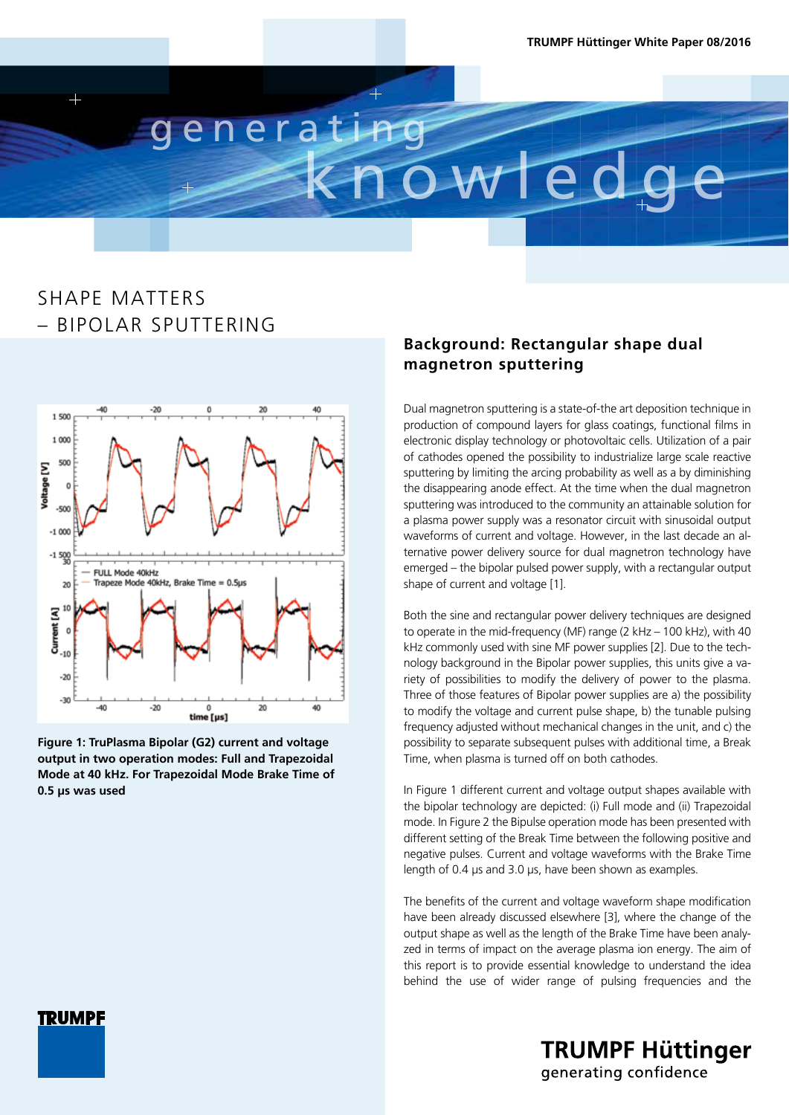

## SHAPE MATTERS – BIPOLAR SPUTTERING



**Figure 1: TruPlasma Bipolar (G2) current and voltage output in two operation modes: Full and Trapezoidal Mode at 40 kHz. For Trapezoidal Mode Brake Time of 0.5 μs was used**

### **Background: Rectangular shape dual magnetron sputtering**

Dual magnetron sputtering is a state-of-the art deposition technique in production of compound layers for glass coatings, functional films in electronic display technology or photovoltaic cells. Utilization of a pair of cathodes opened the possibility to industrialize large scale reactive sputtering by limiting the arcing probability as well as a by diminishing the disappearing anode effect. At the time when the dual magnetron sputtering was introduced to the community an attainable solution for a plasma power supply was a resonator circuit with sinusoidal output waveforms of current and voltage. However, in the last decade an alternative power delivery source for dual magnetron technology have emerged – the bipolar pulsed power supply, with a rectangular output shape of current and voltage [1].

Both the sine and rectangular power delivery techniques are designed to operate in the mid-frequency (MF) range (2 kHz – 100 kHz), with 40 kHz commonly used with sine MF power supplies [2]. Due to the technology background in the Bipolar power supplies, this units give a variety of possibilities to modify the delivery of power to the plasma. Three of those features of Bipolar power supplies are a) the possibility to modify the voltage and current pulse shape, b) the tunable pulsing frequency adjusted without mechanical changes in the unit, and c) the possibility to separate subsequent pulses with additional time, a Break Time, when plasma is turned off on both cathodes.

In Figure 1 different current and voltage output shapes available with the bipolar technology are depicted: (i) Full mode and (ii) Trapezoidal mode. In Figure 2 the Bipulse operation mode has been presented with different setting of the Break Time between the following positive and negative pulses. Current and voltage waveforms with the Brake Time length of 0.4 μs and 3.0 μs, have been shown as examples.

The benefits of the current and voltage waveform shape modification have been already discussed elsewhere [3], where the change of the output shape as well as the length of the Brake Time have been analyzed in terms of impact on the average plasma ion energy. The aim of this report is to provide essential knowledge to understand the idea behind the use of wider range of pulsing frequencies and the

**TRUMPF Hüttinger** 

generating confidence

**TRUMPF**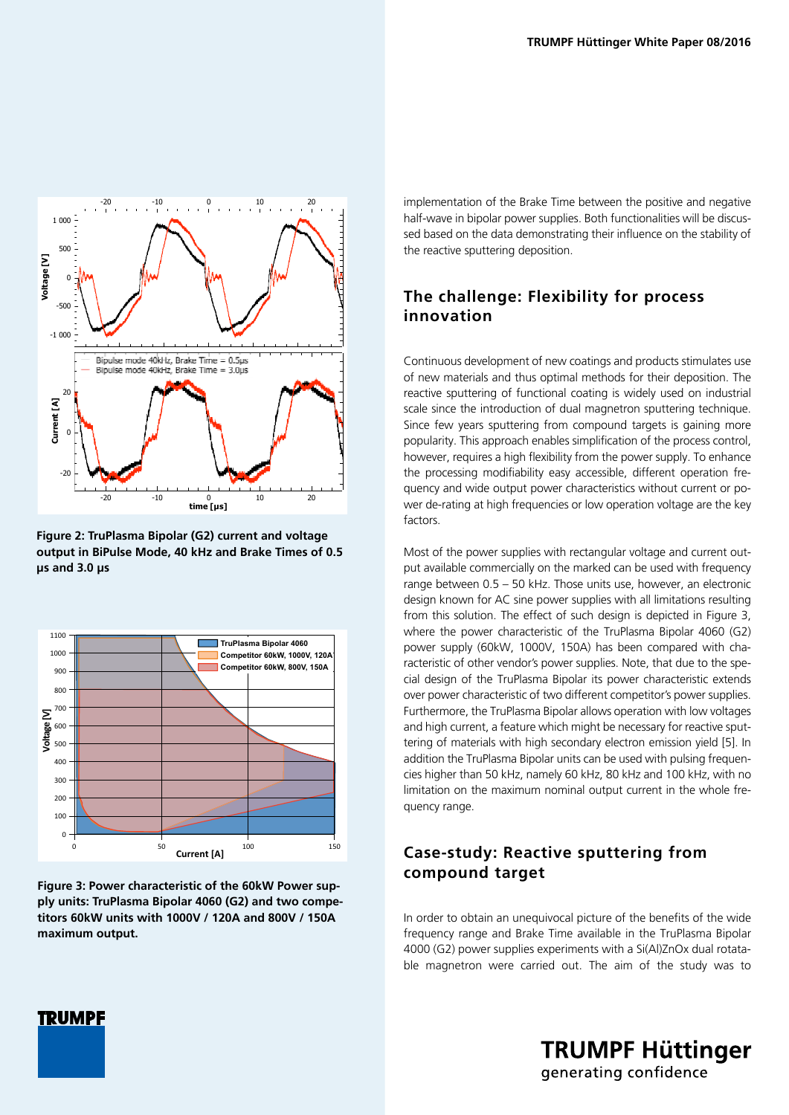

**Figure 2: TruPlasma Bipolar (G2) current and voltage output in BiPulse Mode, 40 kHz and Brake Times of 0.5 μs and 3.0 μs**



**Figure 3: Power characteristic of the 60kW Power supply units: TruPlasma Bipolar 4060 (G2) and two competitors 60kW units with 1000V / 120A and 800V / 150A maximum output.**

implementation of the Brake Time between the positive and negative half-wave in bipolar power supplies. Both functionalities will be discussed based on the data demonstrating their influence on the stability of the reactive sputtering deposition.

### **The challenge: Flexibility for process innovation**

Continuous development of new coatings and products stimulates use of new materials and thus optimal methods for their deposition. The reactive sputtering of functional coating is widely used on industrial scale since the introduction of dual magnetron sputtering technique. Since few years sputtering from compound targets is gaining more popularity. This approach enables simplification of the process control, however, requires a high flexibility from the power supply. To enhance the processing modifiability easy accessible, different operation frequency and wide output power characteristics without current or power de-rating at high frequencies or low operation voltage are the key factors.

Most of the power supplies with rectangular voltage and current output available commercially on the marked can be used with frequency range between 0.5 – 50 kHz. Those units use, however, an electronic design known for AC sine power supplies with all limitations resulting from this solution. The effect of such design is depicted in Figure 3, where the power characteristic of the TruPlasma Bipolar 4060 (G2) power supply (60kW, 1000V, 150A) has been compared with characteristic of other vendor's power supplies. Note, that due to the special design of the TruPlasma Bipolar its power characteristic extends over power characteristic of two different competitor's power supplies. Furthermore, the TruPlasma Bipolar allows operation with low voltages and high current, a feature which might be necessary for reactive sputtering of materials with high secondary electron emission yield [5]. In addition the TruPlasma Bipolar units can be used with pulsing frequencies higher than 50 kHz, namely 60 kHz, 80 kHz and 100 kHz, with no limitation on the maximum nominal output current in the whole frequency range.

### **Case-study: Reactive sputtering from compound target**

In order to obtain an unequivocal picture of the benefits of the wide frequency range and Brake Time available in the TruPlasma Bipolar 4000 (G2) power supplies experiments with a Si(Al)ZnOx dual rotatable magnetron were carried out. The aim of the study was to



**TRUMPF Hüttinger** generating confidence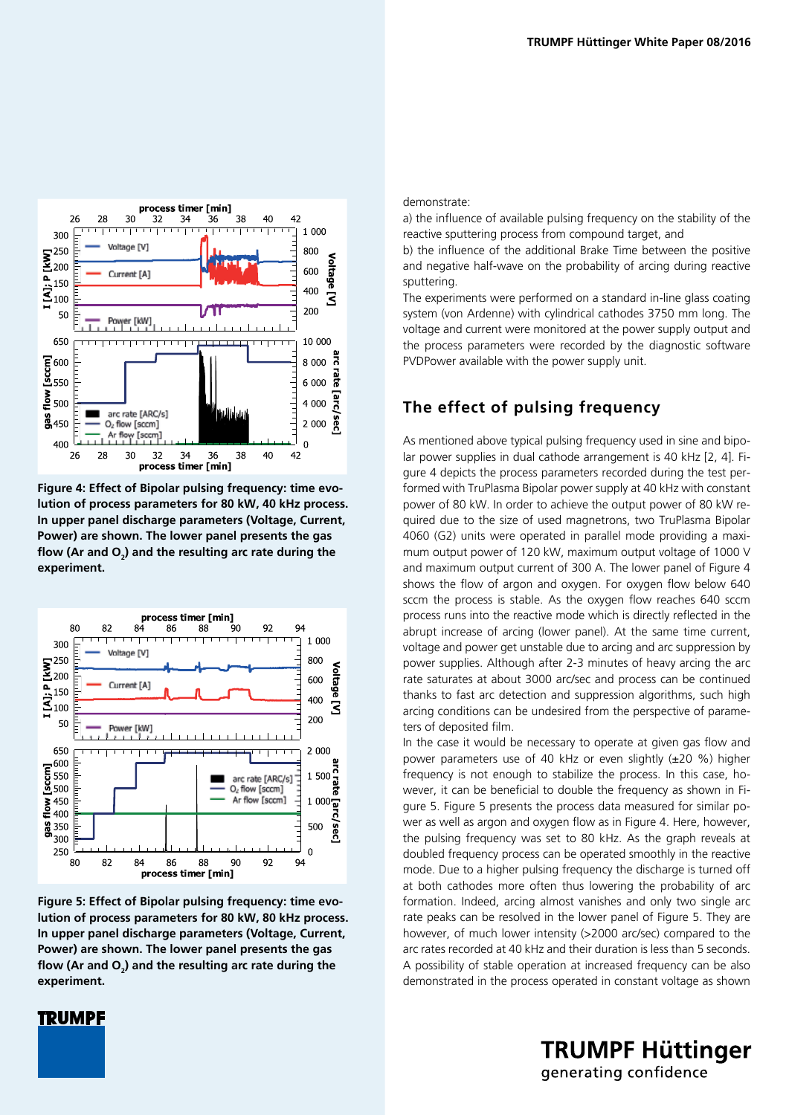

**Figure 4: Effect of Bipolar pulsing frequency: time evolution of process parameters for 80 kW, 40 kHz process. In upper panel discharge parameters (Voltage, Current, Power) are shown. The lower panel presents the gas flow (Ar and O2 ) and the resulting arc rate during the experiment.**



**Figure 5: Effect of Bipolar pulsing frequency: time evolution of process parameters for 80 kW, 80 kHz process. In upper panel discharge parameters (Voltage, Current, Power) are shown. The lower panel presents the gas flow (Ar and O2 ) and the resulting arc rate during the experiment.**

#### demonstrate:

a) the influence of available pulsing frequency on the stability of the reactive sputtering process from compound target, and

b) the influence of the additional Brake Time between the positive and negative half-wave on the probability of arcing during reactive sputtering.

The experiments were performed on a standard in-line glass coating system (von Ardenne) with cylindrical cathodes 3750 mm long. The voltage and current were monitored at the power supply output and the process parameters were recorded by the diagnostic software PVDPower available with the power supply unit.

#### **The effect of pulsing frequency**

As mentioned above typical pulsing frequency used in sine and bipolar power supplies in dual cathode arrangement is 40 kHz [2, 4]. Figure 4 depicts the process parameters recorded during the test performed with TruPlasma Bipolar power supply at 40 kHz with constant power of 80 kW. In order to achieve the output power of 80 kW required due to the size of used magnetrons, two TruPlasma Bipolar 4060 (G2) units were operated in parallel mode providing a maximum output power of 120 kW, maximum output voltage of 1000 V and maximum output current of 300 A. The lower panel of Figure 4 shows the flow of argon and oxygen. For oxygen flow below 640 sccm the process is stable. As the oxygen flow reaches 640 sccm process runs into the reactive mode which is directly reflected in the abrupt increase of arcing (lower panel). At the same time current, voltage and power get unstable due to arcing and arc suppression by power supplies. Although after 2-3 minutes of heavy arcing the arc rate saturates at about 3000 arc/sec and process can be continued thanks to fast arc detection and suppression algorithms, such high arcing conditions can be undesired from the perspective of parameters of deposited film.

In the case it would be necessary to operate at given gas flow and power parameters use of 40 kHz or even slightly (±20 %) higher frequency is not enough to stabilize the process. In this case, however, it can be beneficial to double the frequency as shown in Figure 5. Figure 5 presents the process data measured for similar power as well as argon and oxygen flow as in Figure 4. Here, however, the pulsing frequency was set to 80 kHz. As the graph reveals at doubled frequency process can be operated smoothly in the reactive mode. Due to a higher pulsing frequency the discharge is turned off at both cathodes more often thus lowering the probability of arc formation. Indeed, arcing almost vanishes and only two single arc rate peaks can be resolved in the lower panel of Figure 5. They are however, of much lower intensity (>2000 arc/sec) compared to the arc rates recorded at 40 kHz and their duration is less than 5 seconds. A possibility of stable operation at increased frequency can be also demonstrated in the process operated in constant voltage as shown

> **TRUMPF Hüttinger** generating confidence

### **TRUMPF**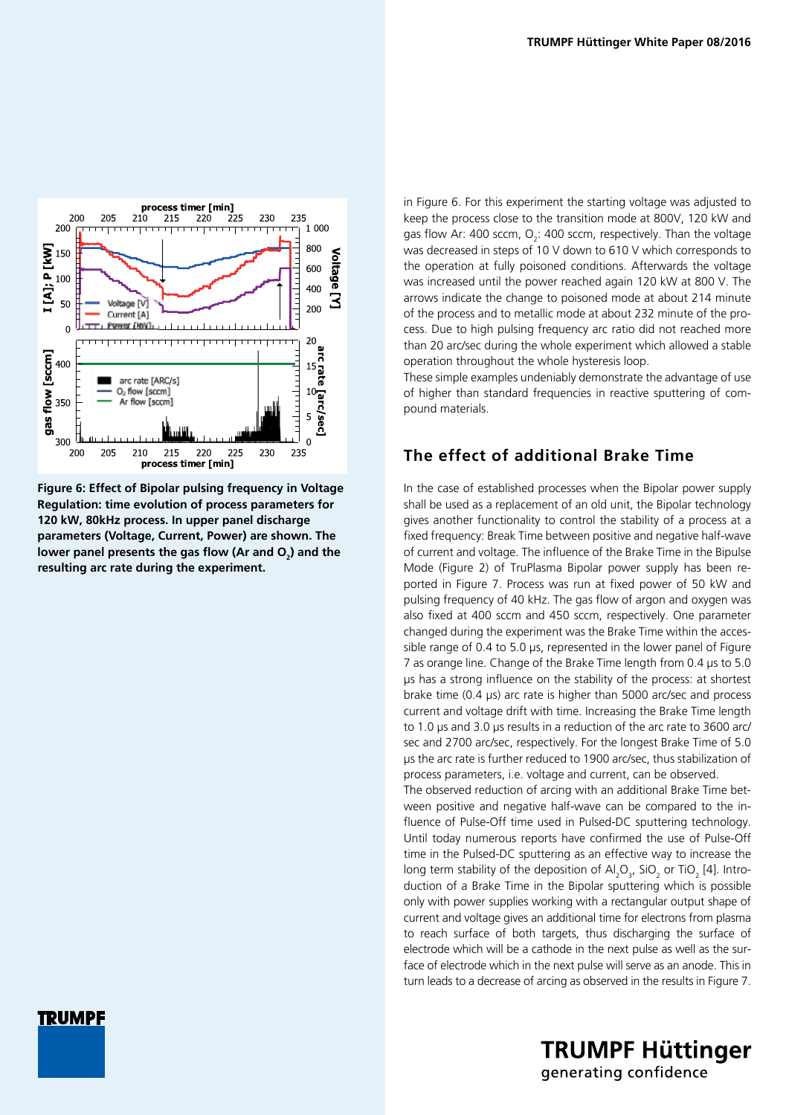

**Figure 6: Effect of Bipolar pulsing frequency in Voltage Regulation: time evolution of process parameters for 120 kW, 80kHz process. In upper panel discharge parameters (Voltage, Current, Power) are shown. The**  lower panel presents the gas flow (Ar and O<sub>2</sub>) and the **resulting arc rate during the experiment.**

in Figure 6. For this experiment the starting voltage was adjusted to keep the process close to the transition mode at 800V, 120 kW and gas flow Ar: 400 sccm,  $O_2$ : 400 sccm, respectively. Than the voltage was decreased in steps of 10 V down to 610 V which corresponds to the operation at fully poisoned conditions. Afterwards the voltage was increased until the power reached again 120 kW at 800 V. The arrows indicate the change to poisoned mode at about 214 minute of the process and to metallic mode at about 232 minute of the process. Due to high pulsing frequency arc ratio did not reached more than 20 arc/sec during the whole experiment which allowed a stable operation throughout the whole hysteresis loop.

These simple examples undeniably demonstrate the advantage of use of higher than standard frequencies in reactive sputtering of compound materials.

### **The effect of additional Brake Time**

In the case of established processes when the Bipolar power supply shall be used as a replacement of an old unit, the Bipolar technology gives another functionality to control the stability of a process at a fixed frequency: Break Time between positive and negative half-wave of current and voltage. The influence of the Brake Time in the Bipulse Mode (Figure 2) of TruPlasma Bipolar power supply has been reported in Figure 7. Process was run at fixed power of 50 kW and pulsing frequency of 40 kHz. The gas flow of argon and oxygen was also fixed at 400 sccm and 450 sccm, respectively. One parameter changed during the experiment was the Brake Time within the accessible range of 0.4 to 5.0 μs, represented in the lower panel of Figure 7 as orange line. Change of the Brake Time length from 0.4 μs to 5.0 μs has a strong influence on the stability of the process: at shortest brake time (0.4 μs) arc rate is higher than 5000 arc/sec and process current and voltage drift with time. Increasing the Brake Time length to 1.0 μs and 3.0 μs results in a reduction of the arc rate to 3600 arc/ sec and 2700 arc/sec, respectively. For the longest Brake Time of 5.0 μs the arc rate is further reduced to 1900 arc/sec, thus stabilization of process parameters, i.e. voltage and current, can be observed.

The observed reduction of arcing with an additional Brake Time between positive and negative half-wave can be compared to the influence of Pulse-Off time used in Pulsed-DC sputtering technology. Until today numerous reports have confirmed the use of Pulse-Off time in the Pulsed-DC sputtering as an effective way to increase the long term stability of the deposition of  $Al_2O_3$ , SiO<sub>2</sub> or TiO<sub>2</sub> [4]. Introduction of a Brake Time in the Bipolar sputtering which is possible only with power supplies working with a rectangular output shape of current and voltage gives an additional time for electrons from plasma to reach surface of both targets, thus discharging the surface of electrode which will be a cathode in the next pulse as well as the surface of electrode which in the next pulse will serve as an anode. This in turn leads to a decrease of arcing as observed in the results in Figure 7.

> **TRUMPF Hüttinger** generating confidence

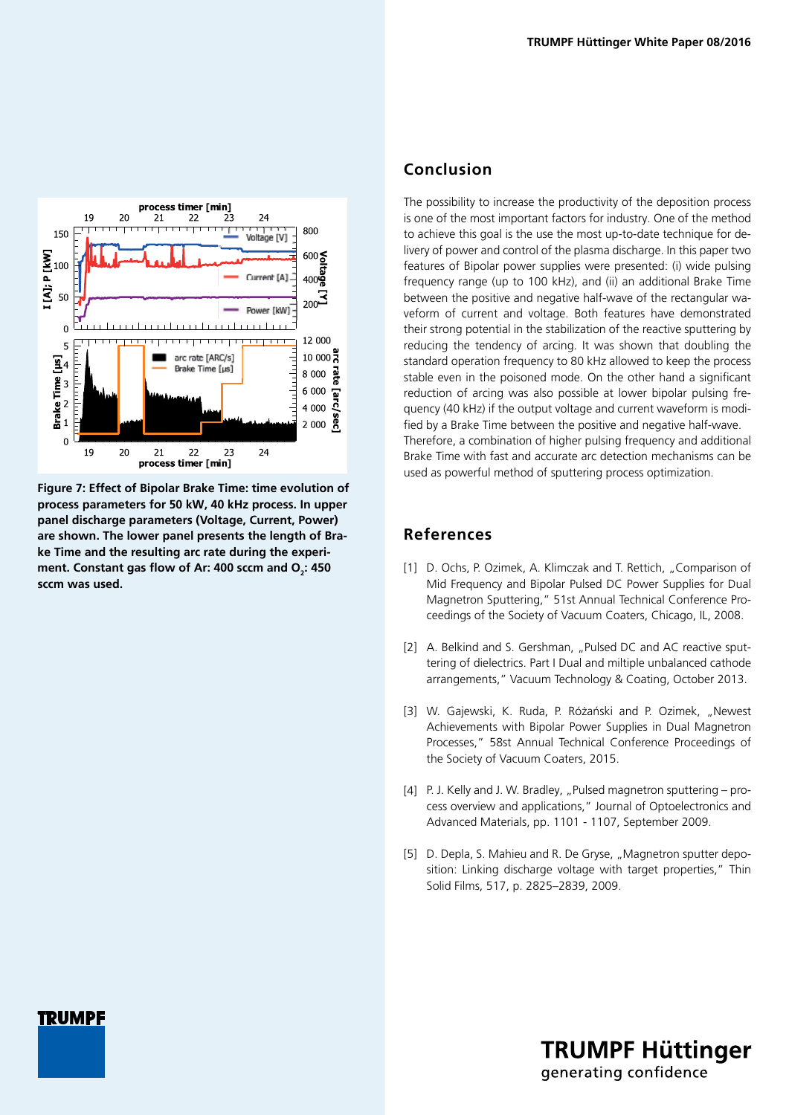

**Figure 7: Effect of Bipolar Brake Time: time evolution of process parameters for 50 kW, 40 kHz process. In upper panel discharge parameters (Voltage, Current, Power) are shown. The lower panel presents the length of Brake Time and the resulting arc rate during the experi**ment. Constant gas flow of Ar: 400 sccm and O<sub>2</sub>: 450 **sccm was used.**

**TRUMPF** 

### **Conclusion**

The possibility to increase the productivity of the deposition process is one of the most important factors for industry. One of the method to achieve this goal is the use the most up-to-date technique for delivery of power and control of the plasma discharge. In this paper two features of Bipolar power supplies were presented: (i) wide pulsing frequency range (up to 100 kHz), and (ii) an additional Brake Time between the positive and negative half-wave of the rectangular waveform of current and voltage. Both features have demonstrated their strong potential in the stabilization of the reactive sputtering by reducing the tendency of arcing. It was shown that doubling the standard operation frequency to 80 kHz allowed to keep the process stable even in the poisoned mode. On the other hand a significant reduction of arcing was also possible at lower bipolar pulsing frequency (40 kHz) if the output voltage and current waveform is modified by a Brake Time between the positive and negative half-wave. Therefore, a combination of higher pulsing frequency and additional Brake Time with fast and accurate arc detection mechanisms can be used as powerful method of sputtering process optimization.

#### **References**

- [1] D. Ochs, P. Ozimek, A. Klimczak and T. Rettich, "Comparison of Mid Frequency and Bipolar Pulsed DC Power Supplies for Dual Magnetron Sputtering," 51st Annual Technical Conference Proceedings of the Society of Vacuum Coaters, Chicago, IL, 2008.
- [2] A. Belkind and S. Gershman, "Pulsed DC and AC reactive sputtering of dielectrics. Part I Dual and miltiple unbalanced cathode arrangements," Vacuum Technology & Coating, October 2013.
- [3] W. Gajewski, K. Ruda, P. Różański and P. Ozimek, "Newest Achievements with Bipolar Power Supplies in Dual Magnetron Processes," 58st Annual Technical Conference Proceedings of the Society of Vacuum Coaters, 2015.
- [4] P. J. Kelly and J. W. Bradley, "Pulsed magnetron sputtering process overview and applications," Journal of Optoelectronics and Advanced Materials, pp. 1101 - 1107, September 2009.
- [5] D. Depla, S. Mahieu and R. De Gryse, "Magnetron sputter deposition: Linking discharge voltage with target properties." Thin Solid Films, 517, p. 2825–2839, 2009.